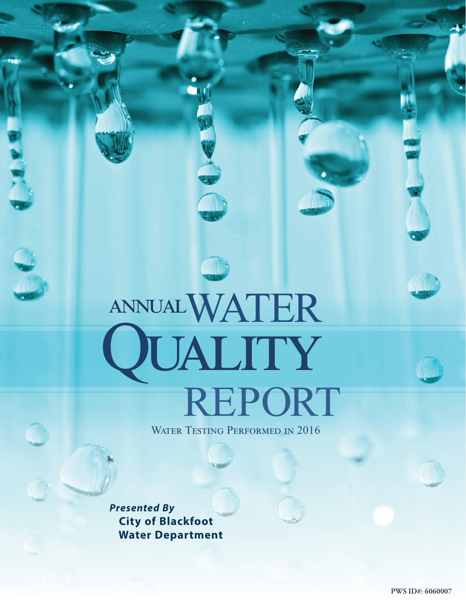# WATER REPORT QUALITY annual

WATER TESTING PERFORMED IN 2016

*Presented By*  **City of Blackfoot Water Department**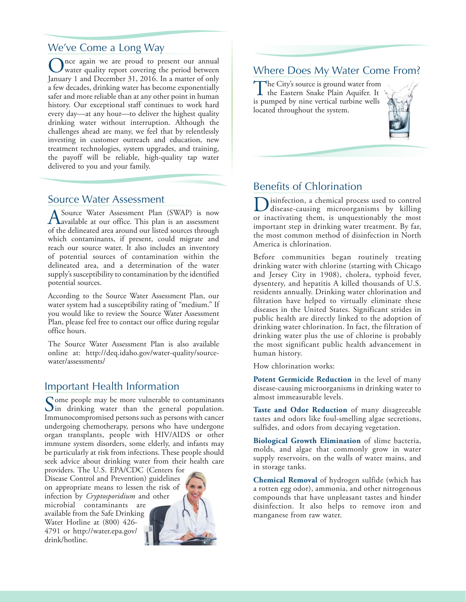#### We've Come a Long Way

The again we are proud to present our annual water quality report covering the period between January 1 and December 31, 2016. In a matter of only a few decades, drinking water has become exponentially safer and more reliable than at any other point in human history. Our exceptional staff continues to work hard every day—at any hour—to deliver the highest quality drinking water without interruption. Although the challenges ahead are many, we feel that by relentlessly investing in customer outreach and education, new treatment technologies, system upgrades, and training, the payoff will be reliable, high-quality tap water delivered to you and your family.

#### Source Water Assessment

A Source Water Assessment Plan (SWAP) is now available at our office. This plan is an assessment of the delineated area around our listed sources through which contaminants, if present, could migrate and reach our source water. It also includes an inventory of potential sources of contamination within the delineated area, and a determination of the water supply's susceptibility to contamination by the identified potential sources.

According to the Source Water Assessment Plan, our water system had a susceptibility rating of "medium." If you would like to review the Source Water Assessment Plan, please feel free to contact our office during regular office hours.

The Source Water Assessment Plan is also available online at: http://deq.idaho.gov/water-quality/sourcewater/assessments/

#### Important Health Information

Some people may be more vulnerable to contaminants<br>In drinking water than the general population. Immunocompromised persons such as persons with cancer undergoing chemotherapy, persons who have undergone organ transplants, people with HIV/AIDS or other immune system disorders, some elderly, and infants may be particularly at risk from infections. These people should seek advice about drinking water from their health care

providers. The U.S. EPA/CDC (Centers for Disease Control and Prevention) guidelines on appropriate means to lessen the risk of infection by *Cryptosporidium* and other microbial contaminants are available from the Safe Drinking Water Hotline at (800) 426- 4791 or http://water.epa.gov/ drink/hotline.



#### Where Does My Water Come From?

The City's source is ground water from<br>the Eastern Snake Plain Aquifer. It<br>is ground the pipe control with the cultu is pumped by nine vertical turbine wells located throughout the system.



#### Benefits of Chlorination

Disinfection, a chemical process used to control disease-causing microorganisms by killing or inactivating them, is unquestionably the most important step in drinking water treatment. By far, the most common method of disinfection in North America is chlorination.

Before communities began routinely treating drinking water with chlorine (starting with Chicago and Jersey City in 1908), cholera, typhoid fever, dysentery, and hepatitis A killed thousands of U.S. residents annually. Drinking water chlorination and filtration have helped to virtually eliminate these diseases in the United States. Significant strides in public health are directly linked to the adoption of drinking water chlorination. In fact, the filtration of drinking water plus the use of chlorine is probably the most significant public health advancement in human history.

How chlorination works:

**Potent Germicide Reduction** in the level of many disease-causing microorganisms in drinking water to almost immeasurable levels.

**Taste and Odor Reduction** of many disagreeable tastes and odors like foul-smelling algae secretions, sulfides, and odors from decaying vegetation.

**Biological Growth Elimination** of slime bacteria, molds, and algae that commonly grow in water supply reservoirs, on the walls of water mains, and in storage tanks.

**Chemical Removal** of hydrogen sulfide (which has a rotten egg odor), ammonia, and other nitrogenous compounds that have unpleasant tastes and hinder disinfection. It also helps to remove iron and manganese from raw water.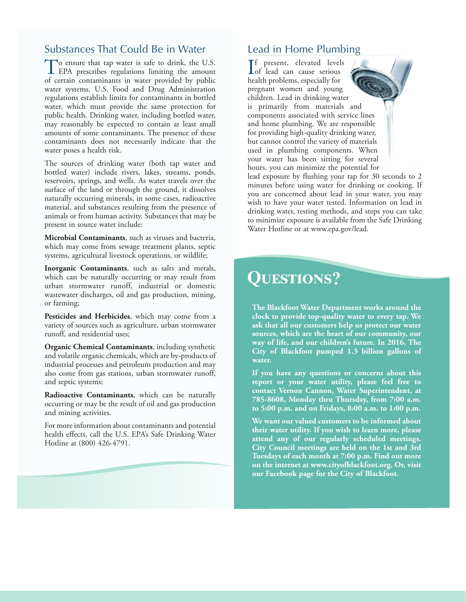#### Substances That Could Be in Water

To ensure that tap water is safe to drink, the U.S. **I** EPA prescribes regulations limiting the amount of certain contaminants in water provided by public water systems. U.S. Food and Drug Administration regulations establish limits for contaminants in bottled water, which must provide the same protection for public health. Drinking water, including bottled water, may reasonably be expected to contain at least small amounts of some contaminants. The presence of these contaminants does not necessarily indicate that the water poses a health risk.

The sources of drinking water (both tap water and bottled water) include rivers, lakes, streams, ponds, reservoirs, springs, and wells. As water travels over the surface of the land or through the ground, it dissolves naturally occurring minerals, in some cases, radioactive material, and substances resulting from the presence of animals or from human activity. Substances that may be present in source water include:

**Microbial Contaminants**, such as viruses and bacteria, which may come from sewage treatment plants, septic systems, agricultural livestock operations, or wildlife;

**Inorganic Contaminants**, such as salts and metals, which can be naturally occurring or may result from urban stormwater runoff, industrial or domestic wastewater discharges, oil and gas production, mining, or farming;

**Pesticides and Herbicides**, which may come from a variety of sources such as agriculture, urban stormwater runoff, and residential uses;

**Organic Chemical Contaminants**, including synthetic and volatile organic chemicals, which are by-products of industrial processes and petroleum production and may also come from gas stations, urban stormwater runoff, and septic systems;

**Radioactive Contaminants**, which can be naturally occurring or may be the result of oil and gas production and mining activities.

For more information about contaminants and potential health effects, call the U.S. EPA's Safe Drinking Water Hotline at (800) 426-4791.

#### Lead in Home Plumbing

If present, elevated levels<br>of lead can cause serious<br>health problems expectelly for Lof lead can cause serious health problems, especially for pregnant women and young children. Lead in drinking water is primarily from materials and components associated with service lines and home plumbing. We are responsible for providing high-quality drinking water, but cannot control the variety of materials used in plumbing components. When your water has been sitting for several hours, you can minimize the potential for

lead exposure by flushing your tap for 30 seconds to 2 minutes before using water for drinking or cooking. If you are concerned about lead in your water, you may wish to have your water tested. Information on lead in drinking water, testing methods, and steps you can take to minimize exposure is available from the Safe Drinking Water Hotline or at www.epa.gov/lead.

## **Questions?**

**The Blackfoot Water Department works around the clock to provide top-quality water to every tap. We ask that all our customers help us protect our water sources, which are the heart of our community, our way of life, and our children's future. In 2016, The City of Blackfoot pumped 1.3 billion gallons of water.**

**If you have any questions or concerns about this report or your water utility, please feel free to contact Vernon Cannon, Water Superintendent, at 785-8608, Monday thru Thursday, from 7:00 a.m. to 5:00 p.m. and on Fridays, 8:00 a.m. to 1:00 p.m.**

**We want our valued customers to be informed about their water utility. If you wish to learn more, please attend any of our regularly scheduled meetings. City Council meetings are held on the 1st and 3rd Tuesdays of each month at 7:00 p.m. Find out more on the internet at www.cityofblackfoot.org. Or, visit our Facebook page for the City of Blackfoot.**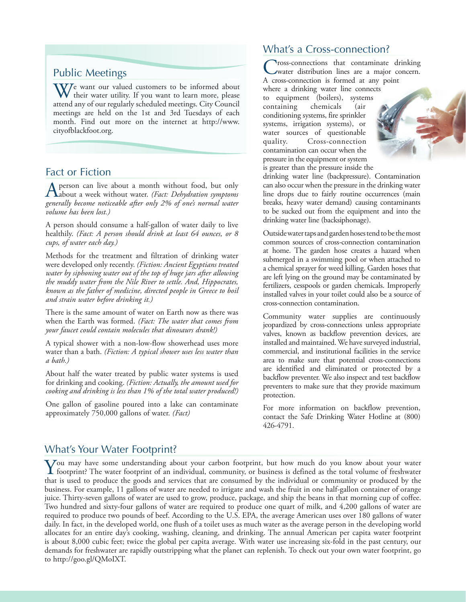#### Public Meetings

We want our valued customers to be informed about their water utility. If you want to learn more, please attend any of our regularly scheduled meetings. City Council meetings are held on the 1st and 3rd Tuesdays of each month. Find out more on the internet at http://www. cityofblackfoot.org.

#### Fact or Fiction

A person can live about a month without food, but only about a week without water. *(Fact: Dehydration symptoms*) *generally become noticeable after only 2% of one's normal water volume has been lost.)*

A person should consume a half-gallon of water daily to live healthily. *(Fact: A person should drink at least 64 ounces, or 8 cups, of water each day.)*

Methods for the treatment and filtration of drinking water were developed only recently. *(Fiction: Ancient Egyptians treated water by siphoning water out of the top of huge jars after allowing the muddy water from the Nile River to settle. And, Hippocrates, known as the father of medicine, directed people in Greece to boil and strain water before drinking it.)*

There is the same amount of water on Earth now as there was when the Earth was formed. *(Fact: The water that comes from your faucet could contain molecules that dinosaurs drank!)*

A typical shower with a non-low-flow showerhead uses more water than a bath. *(Fiction: A typical shower uses less water than a bath.)*

About half the water treated by public water systems is used for drinking and cooking. *(Fiction: Actually, the amount used for cooking and drinking is less than 1% of the total water produced!)*

One gallon of gasoline poured into a lake can contaminate approximately 750,000 gallons of water. *(Fact)*

#### What's a Cross-connection?

Cross-connections that contaminate drinking water distribution lines are a major concern. A cross-connection is formed at any point where a drinking water line connects to equipment (boilers), systems containing chemicals (air conditioning systems, fire sprinkler systems, irrigation systems), or water sources of questionable quality. Cross-connection contamination can occur when the pressure in the equipment or system is greater than the pressure inside the

drinking water line (backpressure). Contamination can also occur when the pressure in the drinking water line drops due to fairly routine occurrences (main breaks, heavy water demand) causing contaminants to be sucked out from the equipment and into the drinking water line (backsiphonage).

Outside water taps and garden hoses tend to be the most common sources of cross-connection contamination at home. The garden hose creates a hazard when submerged in a swimming pool or when attached to a chemical sprayer for weed killing. Garden hoses that are left lying on the ground may be contaminated by fertilizers, cesspools or garden chemicals. Improperly installed valves in your toilet could also be a source of cross-connection contamination.

Community water supplies are continuously jeopardized by cross-connections unless appropriate valves, known as backflow prevention devices, are installed and maintained. We have surveyed industrial, commercial, and institutional facilities in the service area to make sure that potential cross-connections are identified and eliminated or protected by a backflow preventer. We also inspect and test backflow preventers to make sure that they provide maximum protection.

For more information on backflow prevention, contact the Safe Drinking Water Hotline at (800) 426-4791.

#### What's Your Water Footprint?

You may have some understanding about your carbon footprint, but how much do you know about your water footprint? The water footprint of an individual, community, or business is defined as the total volume of freshwater th that is used to produce the goods and services that are consumed by the individual or community or produced by the business. For example, 11 gallons of water are needed to irrigate and wash the fruit in one half-gallon container of orange juice. Thirty-seven gallons of water are used to grow, produce, package, and ship the beans in that morning cup of coffee. Two hundred and sixty-four gallons of water are required to produce one quart of milk, and 4,200 gallons of water are required to produce two pounds of beef. According to the U.S. EPA, the average American uses over 180 gallons of water daily. In fact, in the developed world, one flush of a toilet uses as much water as the average person in the developing world allocates for an entire day's cooking, washing, cleaning, and drinking. The annual American per capita water footprint is about 8,000 cubic feet; twice the global per capita average. With water use increasing six-fold in the past century, our demands for freshwater are rapidly outstripping what the planet can replenish. To check out your own water footprint, go to http://goo.gl/QMoIXT.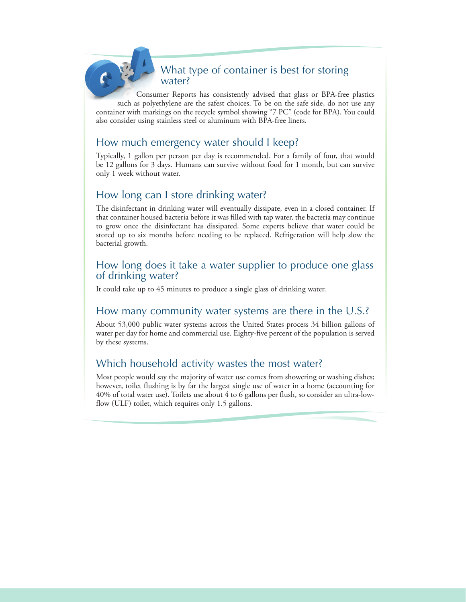#### What type of container is best for storing water?

Consumer Reports has consistently advised that glass or BPA-free plastics such as polyethylene are the safest choices. To be on the safe side, do not use any container with markings on the recycle symbol showing "7 PC" (code for BPA). You could also consider using stainless steel or aluminum with BPA-free liners.

#### How much emergency water should I keep?

Typically, 1 gallon per person per day is recommended. For a family of four, that would be 12 gallons for 3 days. Humans can survive without food for 1 month, but can survive only 1 week without water.

#### How long can I store drinking water?

The disinfectant in drinking water will eventually dissipate, even in a closed container. If that container housed bacteria before it was filled with tap water, the bacteria may continue to grow once the disinfectant has dissipated. Some experts believe that water could be stored up to six months before needing to be replaced. Refrigeration will help slow the bacterial growth.

#### How long does it take a water supplier to produce one glass of drinking water?

It could take up to 45 minutes to produce a single glass of drinking water.

#### How many community water systems are there in the U.S.?

About 53,000 public water systems across the United States process 34 billion gallons of water per day for home and commercial use. Eighty-five percent of the population is served by these systems.

#### Which household activity wastes the most water?

Most people would say the majority of water use comes from showering or washing dishes; however, toilet flushing is by far the largest single use of water in a home (accounting for 40% of total water use). Toilets use about 4 to 6 gallons per flush, so consider an ultra-lowflow (ULF) toilet, which requires only 1.5 gallons.